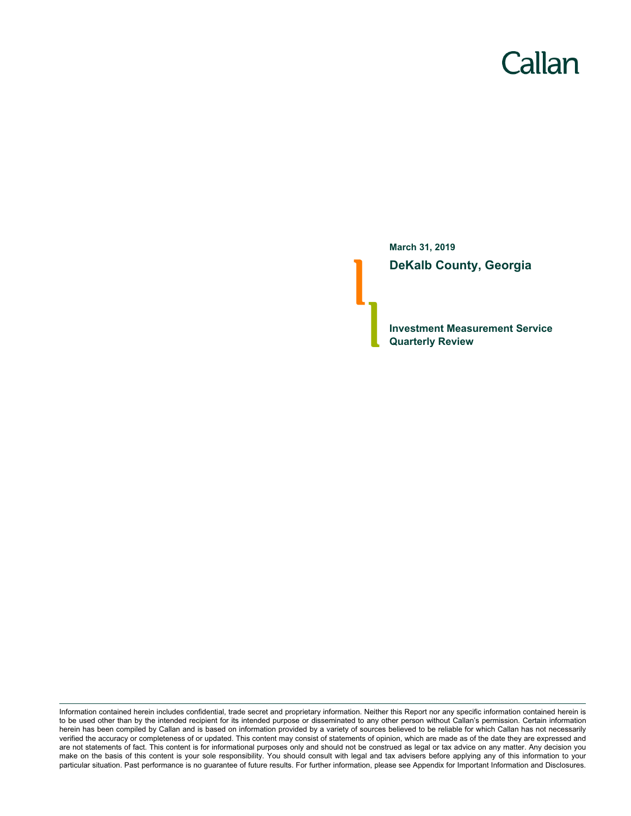# Callan

**March 31, 2019 DeKalb County, Georgia**

**Investment Measurement Service Quarterly Review**

Information contained herein includes confidential, trade secret and proprietary information. Neither this Report nor any specific information contained herein is to be used other than by the intended recipient for its intended purpose or disseminated to any other person without Callan's permission. Certain information herein has been compiled by Callan and is based on information provided by a variety of sources believed to be reliable for which Callan has not necessarily verified the accuracy or completeness of or updated. This content may consist of statements of opinion, which are made as of the date they are expressed and are not statements of fact. This content is for informational purposes only and should not be construed as legal or tax advice on any matter. Any decision you make on the basis of this content is your sole responsibility. You should consult with legal and tax advisers before applying any of this information to your particular situation. Past performance is no guarantee of future results. For further information, please see Appendix for Important Information and Disclosures.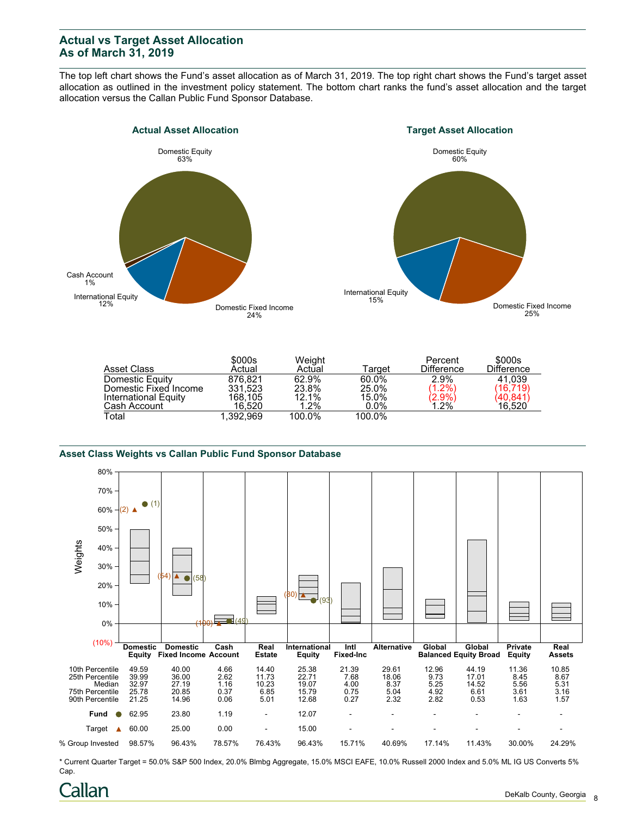# **Actual vs Target Asset Allocation As of March 31, 2019**

The top left chart shows the Fund's asset allocation as of March 31, 2019. The top right chart shows the Fund's target asset allocation as outlined in the investment policy statement. The bottom chart ranks the fund's asset allocation and the target allocation versus the Callan Public Fund Sponsor Database.





|                       | \$000s    | Weight |         | Percent                      | \$000s            |
|-----------------------|-----------|--------|---------|------------------------------|-------------------|
| Asset Class           | Actual    | Actual | Tarɑet  | <b>Difference</b>            | <b>Difference</b> |
| Domestic Equity       | 876.821   | 62.9%  | 60.0%   | 2.9%                         | 41.039            |
| Domestic Fixed Income | 331.523   | 23.8%  | 25.0%   | $(1.2\%)$                    | (16, 719)         |
| International Equity  | 168.105   | 12.1%  | 15.0%   | $\langle 2.9\% \rangle$ 1.2% | 40,841            |
| Cash Account          | 16.520    | 1.2%   | $0.0\%$ |                              | 16,520            |
| Total                 | 1.392.969 | 100.0% | 100.0%  |                              |                   |

#### **Asset Class Weights vs Callan Public Fund Sponsor Database**



\* Current Quarter Target = 50.0% S&P 500 Index, 20.0% Blmbg Aggregate, 15.0% MSCI EAFE, 10.0% Russell 2000 Index and 5.0% ML IG US Converts 5% Cap.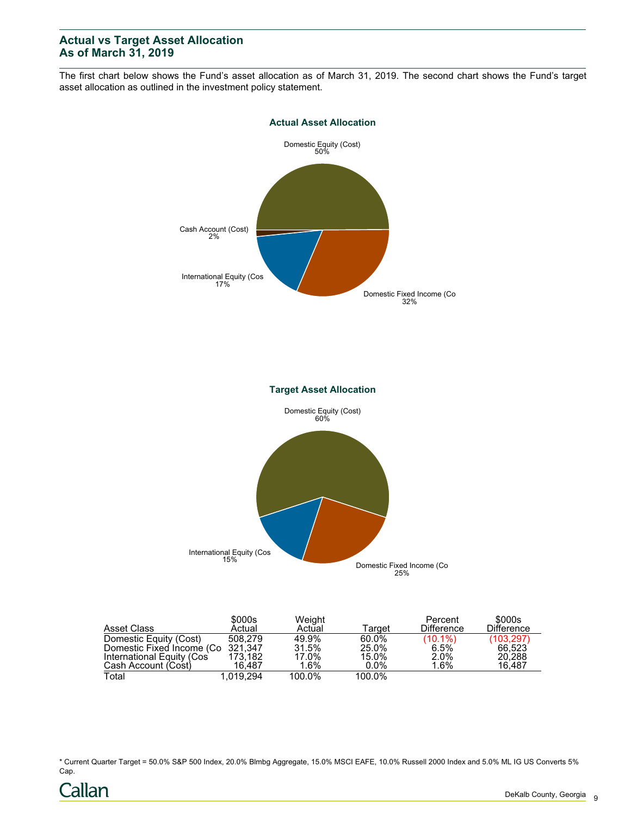# **Actual vs Target Asset Allocation As of March 31, 2019**

The first chart below shows the Fund's asset allocation as of March 31, 2019. The second chart shows the Fund's target asset allocation as outlined in the investment policy statement.



| Asset Class                       | \$000s<br>Actual | Weight<br>Actual | Target  | Percent<br><b>Difference</b> | \$000s<br><b>Difference</b> |
|-----------------------------------|------------------|------------------|---------|------------------------------|-----------------------------|
| Domestic Equity (Cost)            | 508.279          | 49.9%            | 60.0%   | $(10.1\%)$                   | (103, 297)                  |
| Domestic Fixed Income (Co 321,347 |                  | 31.5%            | 25.0%   | 6.5%                         | 66.523                      |
| International Equity (Cos         | 173.182          | 17.0%            | 15.0%   | 2.0%                         | 20,288                      |
| Cash Account (Cost)               | 16.487           | 1.6%             | $0.0\%$ | $1.6\%$                      | 16.487                      |
| Total                             | 1.019.294        | 100.0%           | 100.0%  |                              |                             |

\* Current Quarter Target = 50.0% S&P 500 Index, 20.0% Blmbg Aggregate, 15.0% MSCI EAFE, 10.0% Russell 2000 Index and 5.0% ML IG US Converts 5% Cap.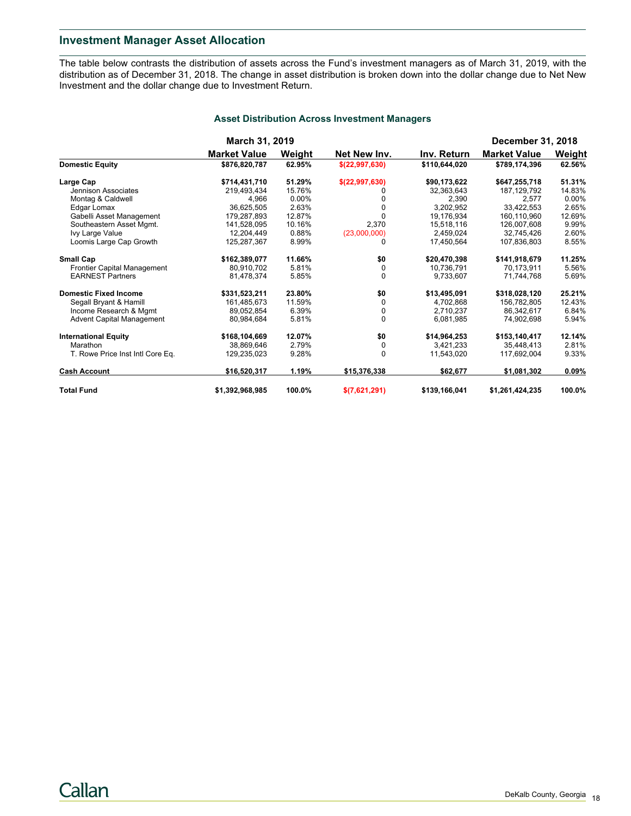# **Investment Manager Asset Allocation**

The table below contrasts the distribution of assets across the Fund's investment managers as of March 31, 2019, with the distribution as of December 31, 2018. The change in asset distribution is broken down into the dollar change due to Net New Investment and the dollar change due to Investment Return.

|                                  | March 31, 2019      |        |                |               | <b>December 31, 2018</b> |          |  |
|----------------------------------|---------------------|--------|----------------|---------------|--------------------------|----------|--|
|                                  | <b>Market Value</b> | Weight | Net New Inv.   | Inv. Return   | <b>Market Value</b>      | Weight   |  |
| <b>Domestic Equity</b>           | \$876,820,787       | 62.95% | \$(22,997,630) | \$110,644,020 | \$789,174,396            | 62.56%   |  |
| Large Cap                        | \$714,431,710       | 51.29% | \$(22,997,630) | \$90,173,622  | \$647,255,718            | 51.31%   |  |
| Jennison Associates              | 219.493.434         | 15.76% |                | 32,363,643    | 187, 129, 792            | 14.83%   |  |
| Montag & Caldwell                | 4,966               | 0.00%  |                | 2,390         | 2.577                    | $0.00\%$ |  |
| Edgar Lomax                      | 36.625.505          | 2.63%  |                | 3,202,952     | 33.422.553               | 2.65%    |  |
| Gabelli Asset Management         | 179.287.893         | 12.87% |                | 19,176,934    | 160,110,960              | 12.69%   |  |
| Southeastern Asset Mgmt.         | 141,528,095         | 10.16% | 2,370          | 15,518,116    | 126,007,608              | 9.99%    |  |
| Ivy Large Value                  | 12.204.449          | 0.88%  | (23,000,000)   | 2.459.024     | 32.745.426               | 2.60%    |  |
| Loomis Large Cap Growth          | 125,287,367         | 8.99%  |                | 17.450.564    | 107,836,803              | 8.55%    |  |
| <b>Small Cap</b>                 | \$162,389,077       | 11.66% | \$0            | \$20,470,398  | \$141,918,679            | 11.25%   |  |
| Frontier Capital Management      | 80.910.702          | 5.81%  | 0              | 10.736.791    | 70.173.911               | 5.56%    |  |
| <b>EARNEST Partners</b>          | 81.478.374          | 5.85%  | $\Omega$       | 9,733,607     | 71.744.768               | 5.69%    |  |
| <b>Domestic Fixed Income</b>     | \$331,523,211       | 23.80% | \$0            | \$13,495,091  | \$318,028,120            | 25.21%   |  |
| Segall Bryant & Hamill           | 161,485,673         | 11.59% | $\Omega$       | 4,702,868     | 156,782,805              | 12.43%   |  |
| Income Research & Mgmt           | 89,052,854          | 6.39%  | 0              | 2,710,237     | 86,342,617               | 6.84%    |  |
| <b>Advent Capital Management</b> | 80,984,684          | 5.81%  | $\Omega$       | 6,081,985     | 74,902,698               | 5.94%    |  |
| <b>International Equity</b>      | \$168,104,669       | 12.07% | \$0            | \$14,964,253  | \$153,140,417            | 12.14%   |  |
| Marathon                         | 38.869.646          | 2.79%  | 0              | 3,421,233     | 35.448.413               | 2.81%    |  |
| T. Rowe Price Inst Intl Core Eq. | 129.235.023         | 9.28%  | $\Omega$       | 11,543,020    | 117,692,004              | 9.33%    |  |
| <b>Cash Account</b>              | \$16,520,317        | 1.19%  | \$15,376,338   | \$62,677      | \$1,081,302              | 0.09%    |  |
| <b>Total Fund</b>                | \$1,392,968,985     | 100.0% | \$(7,621,291)  | \$139,166,041 | \$1,261,424,235          | 100.0%   |  |

#### **Asset Distribution Across Investment Managers**

Callan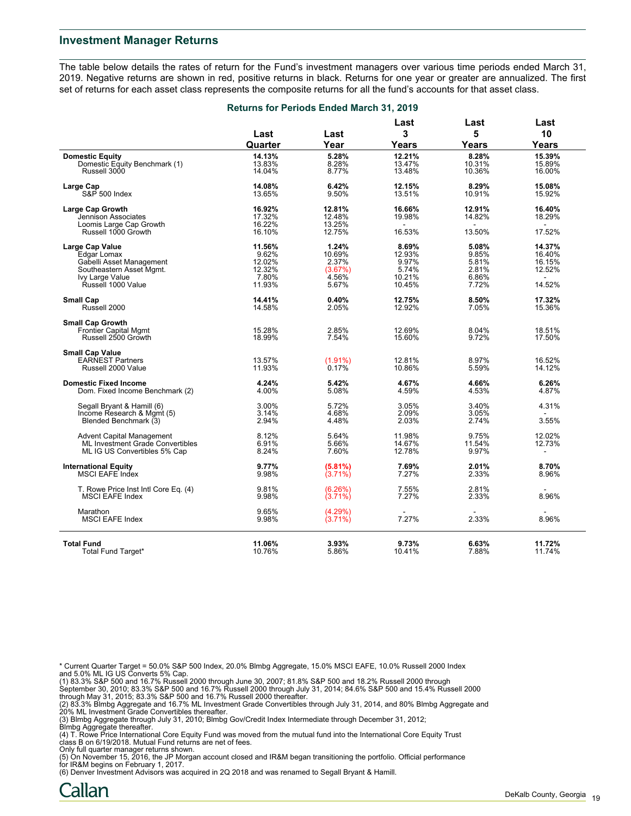#### **Investment Manager Returns**

The table below details the rates of return for the Fund's investment managers over various time periods ended March 31, 2019. Negative returns are shown in red, positive returns in black. Returns for one year or greater are annualized. The first set of returns for each asset class represents the composite returns for all the fund's accounts for that asset class.

|                                                                                                                                        | <b>Returns for Periods Ended March 31, 2019</b>        |                                                       |                                                       |                                                    |                                                |
|----------------------------------------------------------------------------------------------------------------------------------------|--------------------------------------------------------|-------------------------------------------------------|-------------------------------------------------------|----------------------------------------------------|------------------------------------------------|
|                                                                                                                                        | Last                                                   | Last                                                  | Last<br>3                                             | Last<br>5                                          | Last<br>10                                     |
|                                                                                                                                        | Quarter                                                | Year                                                  | Years                                                 | Years                                              | <b>Years</b>                                   |
| <b>Domestic Equity</b><br>Domestic Equity Benchmark (1)<br>Russell 3000                                                                | 14.13%<br>13.83%<br>14.04%                             | 5.28%<br>8.28%<br>8.77%                               | 12.21%<br>13.47%<br>13.48%                            | 8.28%<br>10.31%<br>10.36%                          | 15.39%<br>15.89%<br>16.00%                     |
| Large Cap<br>S&P 500 Index                                                                                                             | 14.08%<br>13.65%                                       | 6.42%<br>9.50%                                        | 12.15%<br>13.51%                                      | 8.29%<br>10.91%                                    | 15.08%<br>15.92%                               |
| <b>Large Cap Growth</b><br>Jennison Associates<br>Loomis Large Cap Growth                                                              | 16.92%<br>17.32%<br>16.22%                             | 12.81%<br>12.48%<br>13.25%                            | 16.66%<br>19.98%                                      | 12.91%<br>14.82%                                   | 16.40%<br>18.29%                               |
| Russell 1000 Growth                                                                                                                    | 16.10%                                                 | 12.75%                                                | 16.53%                                                | 13.50%                                             | 17.52%                                         |
| <b>Large Cap Value</b><br>Edgar Lomax<br>Gabelli Asset Management<br>Southeastern Asset Mgmt.<br>Ivy Large Value<br>Ŕussell 1000 Value | 11.56%<br>9.62%<br>12.02%<br>12.32%<br>7.80%<br>11.93% | 1.24%<br>10.69%<br>2.37%<br>(3.67%)<br>4.56%<br>5.67% | 8.69%<br>12.93%<br>9.97%<br>5.74%<br>10.21%<br>10.45% | 5.08%<br>9.85%<br>5.81%<br>2.81%<br>6.86%<br>7.72% | 14.37%<br>16.40%<br>16.15%<br>12.52%<br>14.52% |
| <b>Small Cap</b><br>Russell 2000                                                                                                       | 14.41%<br>14.58%                                       | 0.40%<br>2.05%                                        | 12.75%<br>12.92%                                      | 8.50%<br>7.05%                                     | 17.32%<br>15.36%                               |
| <b>Small Cap Growth</b><br><b>Frontier Capital Mgmt</b><br>Russell 2500 Growth                                                         | 15.28%<br>18.99%                                       | 2.85%<br>7.54%                                        | 12.69%<br>15.60%                                      | 8.04%<br>9.72%                                     | 18.51%<br>17.50%                               |
| <b>Small Cap Value</b><br><b>EARNEST Partners</b><br>Russell 2000 Value                                                                | 13.57%<br>11.93%                                       | $(1.91\%)$<br>0.17%                                   | 12.81%<br>10.86%                                      | 8.97%<br>5.59%                                     | 16.52%<br>14.12%                               |
| <b>Domestic Fixed Income</b><br>Dom. Fixed Income Benchmark (2)                                                                        | 4.24%<br>4.00%                                         | 5.42%<br>5.08%                                        | 4.67%<br>4.59%                                        | 4.66%<br>4.53%                                     | 6.26%<br>4.87%                                 |
| Segall Bryant & Hamill (6)<br>Income Research & Mgmt (5)<br>Blended Benchmark (3)                                                      | 3.00%<br>3.14%<br>2.94%                                | 5.72%<br>4.68%<br>4.48%                               | 3.05%<br>2.09%<br>2.03%                               | 3.40%<br>3.05%<br>2.74%                            | 4.31%<br>3.55%                                 |
| <b>Advent Capital Management</b><br>ML Investment Grade Convertibles<br>ML IG US Convertibles 5% Cap                                   | 8.12%<br>6.91%<br>8.24%                                | 5.64%<br>5.66%<br>7.60%                               | 11.98%<br>14.67%<br>12.78%                            | 9.75%<br>11.54%<br>9.97%                           | 12.02%<br>12.73%<br>$\overline{\phantom{a}}$   |
| <b>International Equity</b><br><b>MSCI EAFE Index</b>                                                                                  | 9.77%<br>9.98%                                         | (5.81%)<br>$(3.71\%)$                                 | 7.69%<br>7.27%                                        | 2.01%<br>2.33%                                     | 8.70%<br>8.96%                                 |
| T. Rowe Price Inst Intl Core Eq. (4)<br><b>MSCI EAFE Index</b>                                                                         | 9.81%<br>9.98%                                         | (6.26%)<br>$(3.71\%)$                                 | 7.55%<br>7.27%                                        | 2.81%<br>2.33%                                     | 8.96%                                          |
| Marathon<br><b>MSCI EAFE Index</b>                                                                                                     | 9.65%<br>9.98%                                         | (4.29%)<br>$(3.71\%)$                                 | 7.27%                                                 | 2.33%                                              | 8.96%                                          |
| <b>Total Fund</b><br>Total Fund Target*                                                                                                | 11.06%<br>10.76%                                       | 3.93%<br>5.86%                                        | 9.73%<br>10.41%                                       | 6.63%<br>7.88%                                     | 11.72%<br>11.74%                               |

\* Current Quarter Target = 50.0% S&P 500 Index, 20.0% Blmbg Aggregate, 15.0% MSCI EAFE, 10.0% Russell 2000 Index and 5.0% ML IG US Converts 5% Cap.

(1) 83.3% S&P 500 and 16.7% Russell 2000 through June 30, 2007; 81.8% S&P 500 and 18.2% Russell 2000 through<br>September 30, 2010; 83.3% S&P 500 and 16.7% Russell 2000 through July 31, 2014; 84.6% S&P 500 and 15.4% Russell 2

(2) 83.3% Blmbg Aggregate and 16.7% ML Investment Grade Convertibles through July 31, 2014, and 80% Blmbg Aggregate and<br>20% ML Investment Grade Convertibles thereafter.<br>(3) Blmbg Aggregate through July 31, 2010; Blmbg Gov/

(4) T. Rowe Price International Core Equity Fund was moved from the mutual fund into the International Core Equity Trust class B on 6/19/2018. Mutual Fund returns are net of fees.

Only full quarter manager returns shown. (5) On November 15, 2016, the JP Morgan account closed and IR&M began transitioning the portfolio. Official performance for IR&M begins on February 1, 2017.

(6) Denver Investment Advisors was acquired in 2Q 2018 and was renamed to Segall Bryant & Hamill.

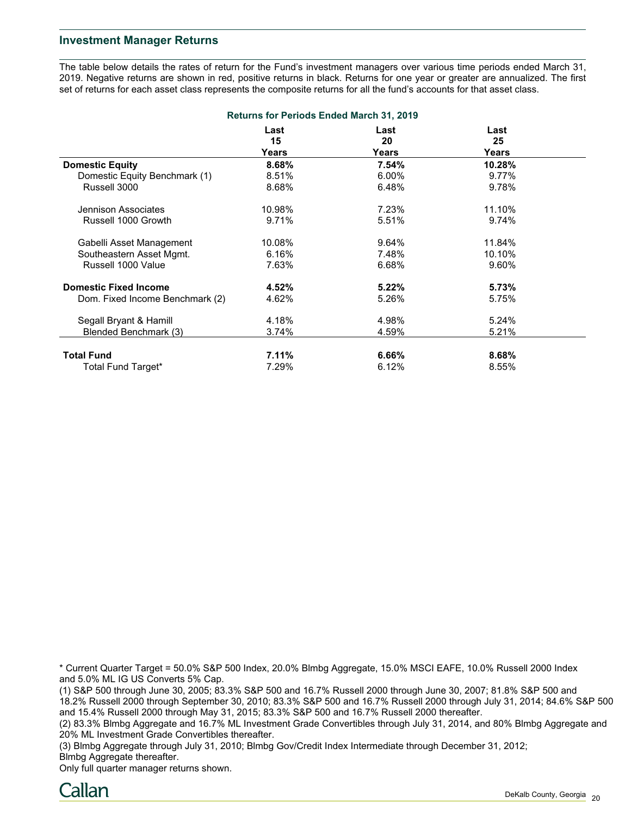### **Investment Manager Returns**

The table below details the rates of return for the Fund's investment managers over various time periods ended March 31, 2019. Negative returns are shown in red, positive returns in black. Returns for one year or greater are annualized. The first set of returns for each asset class represents the composite returns for all the fund's accounts for that asset class.

| <b>Returns for Periods Ended March 31, 2019</b> |                     |                     |                     |  |  |  |  |
|-------------------------------------------------|---------------------|---------------------|---------------------|--|--|--|--|
|                                                 | Last<br>15<br>Years | Last<br>20<br>Years | Last<br>25<br>Years |  |  |  |  |
| <b>Domestic Equity</b>                          | 8.68%               | 7.54%               | 10.28%              |  |  |  |  |
| Domestic Equity Benchmark (1)                   | 8.51%               | $6.00\%$            | 9.77%               |  |  |  |  |
| Russell 3000                                    | 8.68%               | 6.48%               | 9.78%               |  |  |  |  |
| Jennison Associates                             | 10.98%              | 7.23%               | 11.10%              |  |  |  |  |
| Russell 1000 Growth                             | 9.71%               | 5.51%               | 9.74%               |  |  |  |  |
| Gabelli Asset Management                        | 10.08%              | 9.64%               | 11.84%              |  |  |  |  |
| Southeastern Asset Mgmt.                        | 6.16%               | 7.48%               | 10.10%              |  |  |  |  |
| Russell 1000 Value                              | 7.63%               | 6.68%               | 9.60%               |  |  |  |  |
| <b>Domestic Fixed Income</b>                    | 4.52%               | $5.22\%$            | 5.73%               |  |  |  |  |
| Dom. Fixed Income Benchmark (2)                 | 4.62%               | 5.26%               | 5.75%               |  |  |  |  |
| Segall Bryant & Hamill                          | 4.18%               | 4.98%               | 5.24%               |  |  |  |  |
| Blended Benchmark (3)                           | 3.74%               | 4.59%               | 5.21%               |  |  |  |  |
| <b>Total Fund</b>                               | 7.11%               | 6.66%               | 8.68%               |  |  |  |  |
| Total Fund Target*                              | 7.29%               | 6.12%               | 8.55%               |  |  |  |  |

\* Current Quarter Target = 50.0% S&P 500 Index, 20.0% Blmbg Aggregate, 15.0% MSCI EAFE, 10.0% Russell 2000 Index and 5.0% ML IG US Converts 5% Cap.

(1) S&P 500 through June 30, 2005; 83.3% S&P 500 and 16.7% Russell 2000 through June 30, 2007; 81.8% S&P 500 and 18.2% Russell 2000 through September 30, 2010; 83.3% S&P 500 and 16.7% Russell 2000 through July 31, 2014; 84.6% S&P 500 and 15.4% Russell 2000 through May 31, 2015; 83.3% S&P 500 and 16.7% Russell 2000 thereafter.

(2) 83.3% Blmbg Aggregate and 16.7% ML Investment Grade Convertibles through July 31, 2014, and 80% Blmbg Aggregate and 20% ML Investment Grade Convertibles thereafter.

(3) Blmbg Aggregate through July 31, 2010; Blmbg Gov/Credit Index Intermediate through December 31, 2012; Blmbg Aggregate thereafter.

Only full quarter manager returns shown.